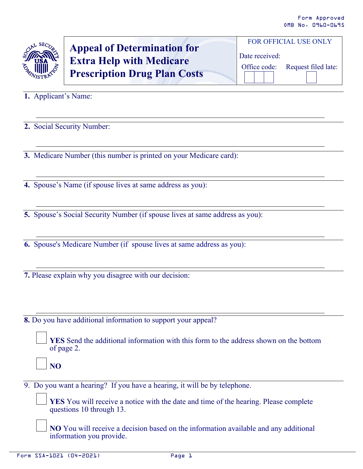

## **Appeal of Determination for Extra Help with Medicare Prescription Drug Plan Costs**

Date received: Office code: Request filed late:

FOR OFFICIAL USE ONLY

**1.** Applicant's Name:

**2.** Social Security Number:

**3.** Medicare Number (this number is printed on your Medicare card):

**4.** Spouse's Name (if spouse lives at same address as you):

**5.** Spouse's Social Security Number (if spouse lives at same address as you):

**6.** Spouse's Medicare Number (if spouse lives at same address as you):

**7.** Please explain why you disagree with our decision:

**8.** Do you have additional information to support your appeal?

**YES** Send the additional information with this form to the address shown on the bottom of page 2.

**NO**

9. Do you want a hearing? If you have a hearing, it will be by telephone.

**YES** You will receive a notice with the date and time of the hearing. Please complete questions 10 through 13.

**NO** You will receive a decision based on the information available and any additional information you provide.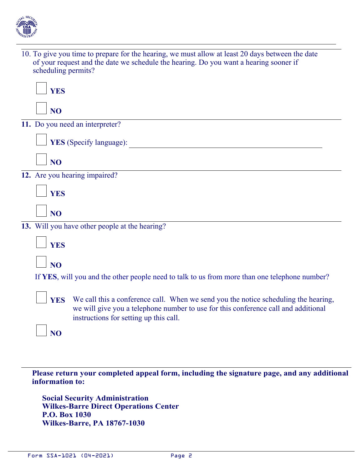

10. To give you time to prepare for the hearing, we must allow at least 20 days between the date of your request and the date we schedule the hearing. Do you want a hearing sooner if scheduling permits?

| <b>YES</b>                                                                                                                                                                                                                        |  |  |  |  |  |
|-----------------------------------------------------------------------------------------------------------------------------------------------------------------------------------------------------------------------------------|--|--|--|--|--|
| N <sub>O</sub>                                                                                                                                                                                                                    |  |  |  |  |  |
| 11. Do you need an interpreter?                                                                                                                                                                                                   |  |  |  |  |  |
| YES (Specify language):                                                                                                                                                                                                           |  |  |  |  |  |
| NO <sub>1</sub>                                                                                                                                                                                                                   |  |  |  |  |  |
| 12. Are you hearing impaired?                                                                                                                                                                                                     |  |  |  |  |  |
| <b>YES</b>                                                                                                                                                                                                                        |  |  |  |  |  |
| N <sub>O</sub>                                                                                                                                                                                                                    |  |  |  |  |  |
| 13. Will you have other people at the hearing?                                                                                                                                                                                    |  |  |  |  |  |
| <b>YES</b>                                                                                                                                                                                                                        |  |  |  |  |  |
| NO <sub>1</sub>                                                                                                                                                                                                                   |  |  |  |  |  |
| If YES, will you and the other people need to talk to us from more than one telephone number?                                                                                                                                     |  |  |  |  |  |
| We call this a conference call. When we send you the notice scheduling the hearing,<br><b>YES</b><br>we will give you a telephone number to use for this conference call and additional<br>instructions for setting up this call. |  |  |  |  |  |
| N <sub>O</sub>                                                                                                                                                                                                                    |  |  |  |  |  |

**Please return your completed appeal form, including the signature page, and any additional information to:** 

 **Social Security Administration Wilkes-Barre Direct Operations Center P.O. Box 1030 Wilkes-Barre, PA 18767-1030**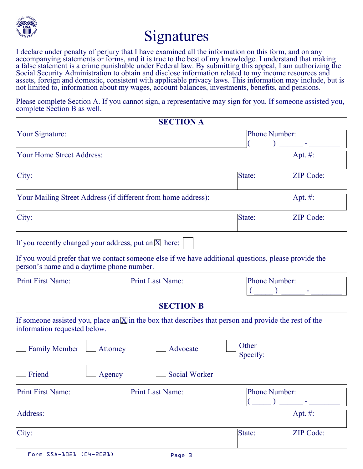

## Signatures

I declare under penalty of perjury that I have examined all the information on this form, and on any accompanying statements or forms, and it is true to the best of my knowledge. I understand that making a false statement is a crime punishable under Federal law. By submitting this appeal, I am authorizing the Social Security Administration to obtain and disclose information related to my income resources and assets, foreign and domestic, consistent with applicable privacy laws. This information may include, but is not limited to, information about my wages, account balances, investments, benefits, and pensions.

Please complete Section A. If you cannot sign, a representative may sign for you. If someone assisted you, complete Section B as well.

| <b>SECTION A</b>                                                                                                                                   |                         |                      |  |  |  |
|----------------------------------------------------------------------------------------------------------------------------------------------------|-------------------------|----------------------|--|--|--|
| Your Signature:                                                                                                                                    | Phone Number:           |                      |  |  |  |
| <b>Your Home Street Address:</b>                                                                                                                   | $ Apt. \#$              |                      |  |  |  |
| City:                                                                                                                                              | <b>ZIP</b> Code:        |                      |  |  |  |
| Your Mailing Street Address (if different from home address):                                                                                      | Apt. #:                 |                      |  |  |  |
| City:                                                                                                                                              | State:                  | <b>ZIP</b> Code:     |  |  |  |
| If you recently changed your address, put an $\overline{X}$ here:                                                                                  |                         |                      |  |  |  |
| If you would prefer that we contact someone else if we have additional questions, please provide the<br>person's name and a daytime phone number.  |                         |                      |  |  |  |
| <b>Print First Name:</b>                                                                                                                           | <b>Print Last Name:</b> | <b>Phone Number:</b> |  |  |  |
| <b>SECTION B</b>                                                                                                                                   |                         |                      |  |  |  |
| If someone assisted you, place an $\overline{X}$ in the box that describes that person and provide the rest of the<br>information requested below. |                         |                      |  |  |  |
| <b>Family Member</b><br>Attorney                                                                                                                   |                         |                      |  |  |  |
| Friend<br><b>Social Worker</b><br>Agency                                                                                                           |                         |                      |  |  |  |
| <b>Print First Name:</b>                                                                                                                           | <b>Print Last Name:</b> | Phone Number:        |  |  |  |
| Address:                                                                                                                                           | Apt. #:                 |                      |  |  |  |
| City:                                                                                                                                              | State:                  | ZIP Code:            |  |  |  |